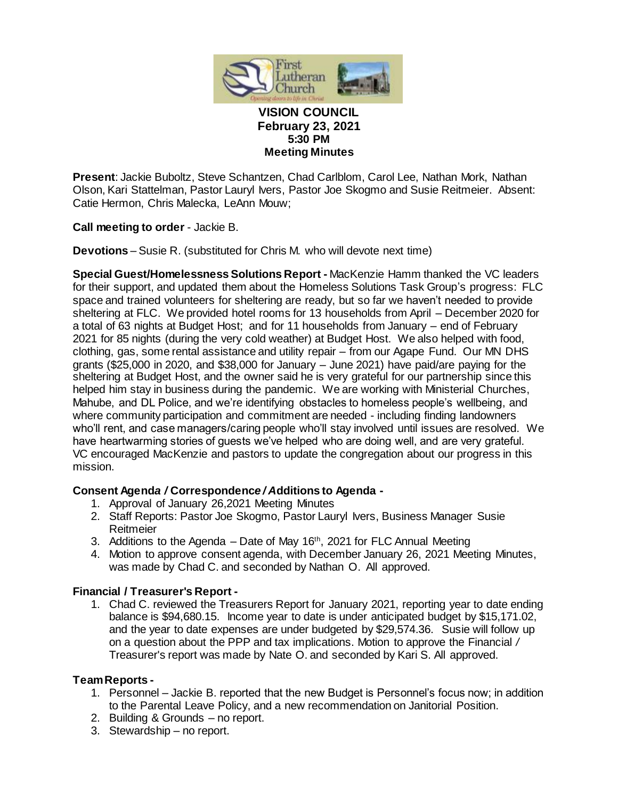

#### **VISION COUNCIL February 23, 2021 5:30 PM Meeting Minutes**

**Present**: Jackie Buboltz, Steve Schantzen, Chad Carlblom, Carol Lee, Nathan Mork, Nathan Olson, Kari Stattelman, Pastor Lauryl Ivers, Pastor Joe Skogmo and Susie Reitmeier. Absent: Catie Hermon, Chris Malecka, LeAnn Mouw;

**Call meeting to order** - Jackie B.

**Devotions** – Susie R. (substituted for Chris M. who will devote next time)

**Special Guest/Homelessness Solutions Report -** MacKenzie Hamm thanked the VC leaders for their support, and updated them about the Homeless Solutions Task Group's progress: FLC space and trained volunteers for sheltering are ready, but so far we haven't needed to provide sheltering at FLC. We provided hotel rooms for 13 households from April – December 2020 for a total of 63 nights at Budget Host; and for 11 households from January – end of February 2021 for 85 nights (during the very cold weather) at Budget Host. We also helped with food, clothing, gas, some rental assistance and utility repair – from our Agape Fund. Our MN DHS grants (\$25,000 in 2020, and \$38,000 for January – June 2021) have paid/are paying for the sheltering at Budget Host, and the owner said he is very grateful for our partnership since this helped him stay in business during the pandemic. We are working with Ministerial Churches, Mahube, and DL Police, and we're identifying obstacles to homeless people's wellbeing, and where community participation and commitment are needed - including finding landowners who'll rent, and case managers/caring people who'll stay involved until issues are resolved. We have heartwarming stories of guests we've helped who are doing well, and are very grateful. VC encouraged MacKenzie and pastors to update the congregation about our progress in this mission.

### **Consent Agend***a /* **Correspondenc***e / A***dditions to Agenda -**

- 1. Approval of January 26,2021 Meeting Minutes
- 2. Staff Reports: Pastor Joe Skogmo, Pastor Lauryl Ivers, Business Manager Susie Reitmeier
- 3. Additions to the Agenda  $-$  Date of May 16<sup>th</sup>, 2021 for FLC Annual Meeting
- 4. Motion to approve consent agenda, with December January 26, 2021 Meeting Minutes, was made by Chad C. and seconded by Nathan O. All approved.

# **Financial / Treasurer's Report -**

1. Chad C. reviewed the Treasurers Report for January 2021, reporting year to date ending balance is \$94,680.15. Income year to date is under anticipated budget by \$15,171.02, and the year to date expenses are under budgeted by \$29,574.36. Susie will follow up on a question about the PPP and tax implications. Motion to approve the Financial */*  Treasurer's report was made by Nate O. and seconded by Kari S. All approved.

### **Team Reports -**

- 1. Personnel Jackie B. reported that the new Budget is Personnel's focus now; in addition to the Parental Leave Policy, and a new recommendation on Janitorial Position.
- 2. Building & Grounds no report.
- 3. Stewardship no report.